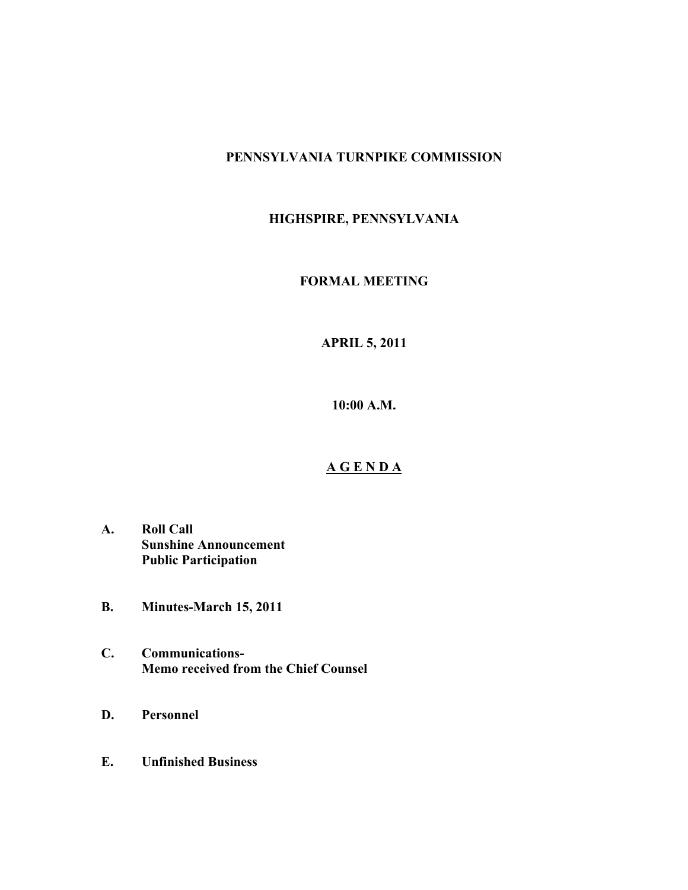## **PENNSYLVANIA TURNPIKE COMMISSION**

# **HIGHSPIRE, PENNSYLVANIA**

## **FORMAL MEETING**

# **APRIL 5, 2011**

**10:00 A.M.**

## **A G E N D A**

- **A. Roll Call Sunshine Announcement Public Participation**
- **B. Minutes-March 15, 2011**
- **C. Communications-Memo received from the Chief Counsel**
- **D. Personnel**
- **E. Unfinished Business**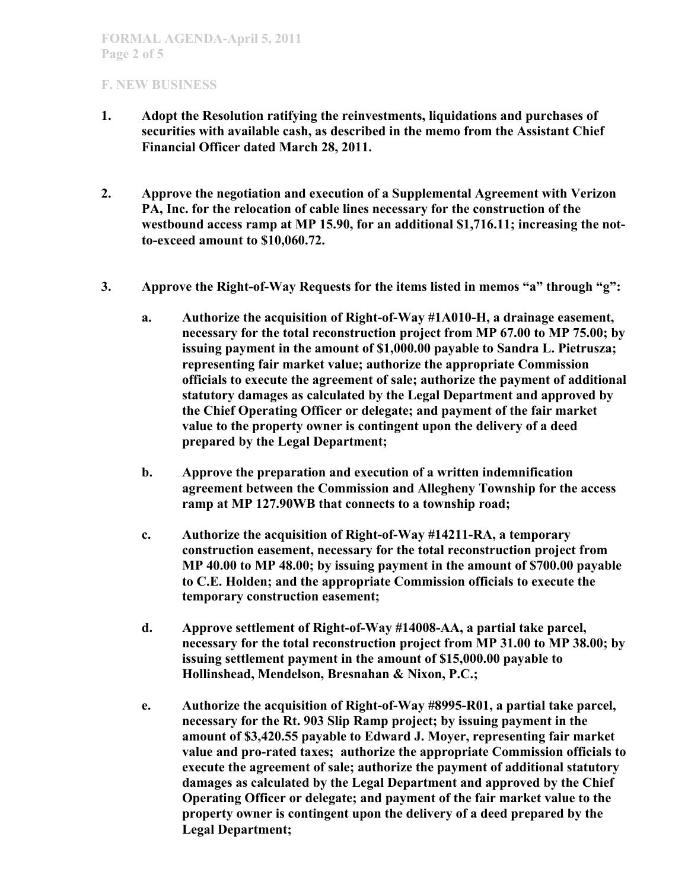- **1. Adopt the Resolution ratifying the reinvestments, liquidations and purchases of securities with available cash, as described in the memo from the Assistant Chief Financial Officer dated March 28, 2011.**
- **2. Approve the negotiation and execution of a Supplemental Agreement with Verizon PA, Inc. for the relocation of cable lines necessary for the construction of the westbound access ramp at MP 15.90, for an additional \$1,716.11; increasing the notto-exceed amount to \$10,060.72.**
- **3. Approve the Right-of-Way Requests for the items listed in memos "a" through "g":**
	- **a. Authorize the acquisition of Right-of-Way #1A010-H, a drainage easement, necessary for the total reconstruction project from MP 67.00 to MP 75.00; by issuing payment in the amount of \$1,000.00 payable to Sandra L. Pietrusza; representing fair market value; authorize the appropriate Commission officials to execute the agreement of sale; authorize the payment of additional statutory damages as calculated by the Legal Department and approved by the Chief Operating Officer or delegate; and payment of the fair market value to the property owner is contingent upon the delivery of a deed prepared by the Legal Department;**
	- **b. Approve the preparation and execution of a written indemnification agreement between the Commission and Allegheny Township for the access ramp at MP 127.90WB that connects to a township road;**
	- **c. Authorize the acquisition of Right-of-Way #14211-RA, a temporary construction easement, necessary for the total reconstruction project from MP 40.00 to MP 48.00; by issuing payment in the amount of \$700.00 payable to C.E. Holden; and the appropriate Commission officials to execute the temporary construction easement;**
	- **d. Approve settlement of Right-of-Way #14008-AA, a partial take parcel, necessary for the total reconstruction project from MP 31.00 to MP 38.00; by issuing settlement payment in the amount of \$15,000.00 payable to Hollinshead, Mendelson, Bresnahan & Nixon, P.C.;**
	- **e. Authorize the acquisition of Right-of-Way #8995-R01, a partial take parcel, necessary for the Rt. 903 Slip Ramp project; by issuing payment in the amount of \$3,420.55 payable to Edward J. Moyer, representing fair market value and pro-rated taxes; authorize the appropriate Commission officials to execute the agreement of sale; authorize the payment of additional statutory damages as calculated by the Legal Department and approved by the Chief Operating Officer or delegate; and payment of the fair market value to the property owner is contingent upon the delivery of a deed prepared by the Legal Department;**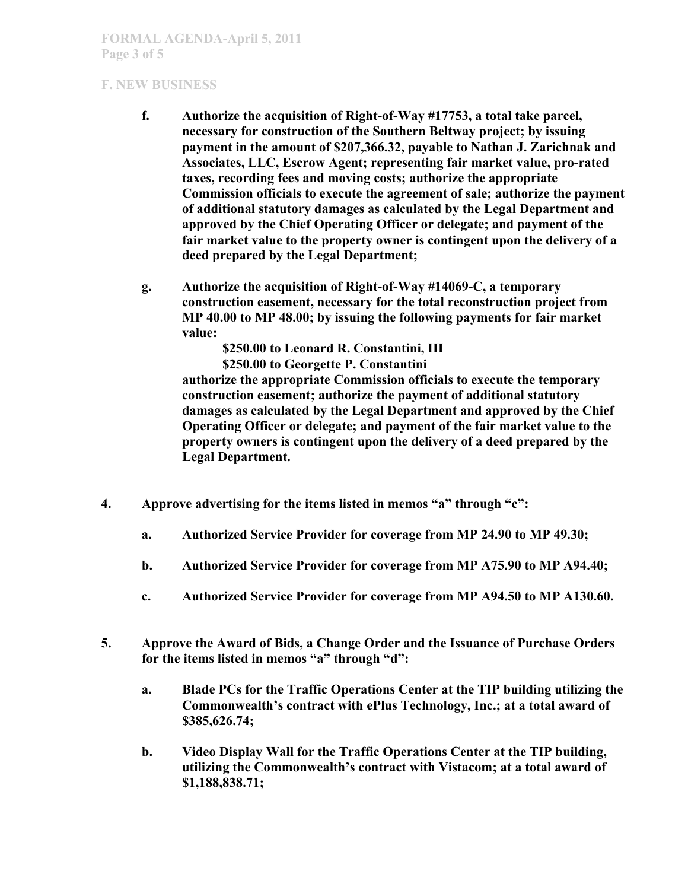- **f. Authorize the acquisition of Right-of-Way #17753, a total take parcel, necessary for construction of the Southern Beltway project; by issuing payment in the amount of \$207,366.32, payable to Nathan J. Zarichnak and Associates, LLC, Escrow Agent; representing fair market value, pro-rated taxes, recording fees and moving costs; authorize the appropriate Commission officials to execute the agreement of sale; authorize the payment of additional statutory damages as calculated by the Legal Department and approved by the Chief Operating Officer or delegate; and payment of the fair market value to the property owner is contingent upon the delivery of a deed prepared by the Legal Department;**
- **g. Authorize the acquisition of Right-of-Way #14069-C, a temporary construction easement, necessary for the total reconstruction project from MP 40.00 to MP 48.00; by issuing the following payments for fair market value:**

**\$250.00 to Leonard R. Constantini, III \$250.00 to Georgette P. Constantini**

**authorize the appropriate Commission officials to execute the temporary construction easement; authorize the payment of additional statutory damages as calculated by the Legal Department and approved by the Chief Operating Officer or delegate; and payment of the fair market value to the property owners is contingent upon the delivery of a deed prepared by the Legal Department.**

- **4. Approve advertising for the items listed in memos "a" through "c":**
	- **a. Authorized Service Provider for coverage from MP 24.90 to MP 49.30;**
	- **b. Authorized Service Provider for coverage from MP A75.90 to MP A94.40;**
	- **c. Authorized Service Provider for coverage from MP A94.50 to MP A130.60.**
- **5. Approve the Award of Bids, a Change Order and the Issuance of Purchase Orders for the items listed in memos "a" through "d":**
	- **a. Blade PCs for the Traffic Operations Center at the TIP building utilizing the Commonwealth's contract with ePlus Technology, Inc.; at a total award of \$385,626.74;**
	- **b. Video Display Wall for the Traffic Operations Center at the TIP building, utilizing the Commonwealth's contract with Vistacom; at a total award of \$1,188,838.71;**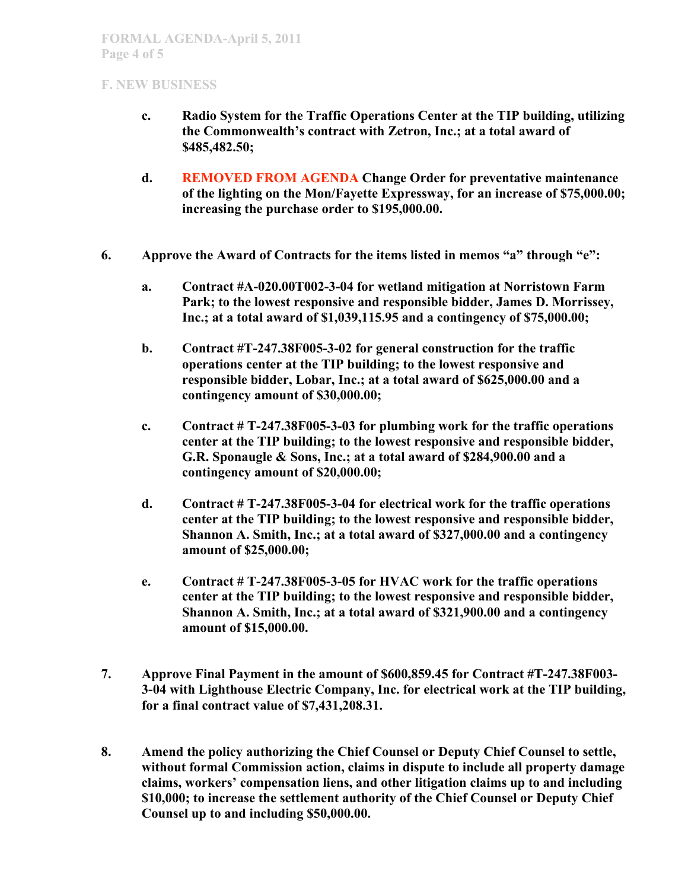- **c. Radio System for the Traffic Operations Center at the TIP building, utilizing the Commonwealth's contract with Zetron, Inc.; at a total award of \$485,482.50;**
- **d. REMOVED FROM AGENDA Change Order for preventative maintenance of the lighting on the Mon/Fayette Expressway, for an increase of \$75,000.00; increasing the purchase order to \$195,000.00.**
- **6. Approve the Award of Contracts for the items listed in memos "a" through "e":**
	- **a. Contract #A-020.00T002-3-04 for wetland mitigation at Norristown Farm Park; to the lowest responsive and responsible bidder, James D. Morrissey, Inc.; at a total award of \$1,039,115.95 and a contingency of \$75,000.00;**
	- **b. Contract #T-247.38F005-3-02 for general construction for the traffic operations center at the TIP building; to the lowest responsive and responsible bidder, Lobar, Inc.; at a total award of \$625,000.00 and a contingency amount of \$30,000.00;**
	- **c. Contract # T-247.38F005-3-03 for plumbing work for the traffic operations center at the TIP building; to the lowest responsive and responsible bidder, G.R. Sponaugle & Sons, Inc.; at a total award of \$284,900.00 and a contingency amount of \$20,000.00;**
	- **d. Contract # T-247.38F005-3-04 for electrical work for the traffic operations center at the TIP building; to the lowest responsive and responsible bidder, Shannon A. Smith, Inc.; at a total award of \$327,000.00 and a contingency amount of \$25,000.00;**
	- **e. Contract # T-247.38F005-3-05 for HVAC work for the traffic operations center at the TIP building; to the lowest responsive and responsible bidder, Shannon A. Smith, Inc.; at a total award of \$321,900.00 and a contingency amount of \$15,000.00.**
- **7. Approve Final Payment in the amount of \$600,859.45 for Contract #T-247.38F003- 3-04 with Lighthouse Electric Company, Inc. for electrical work at the TIP building, for a final contract value of \$7,431,208.31.**
- **8. Amend the policy authorizing the Chief Counsel or Deputy Chief Counsel to settle, without formal Commission action, claims in dispute to include all property damage claims, workers' compensation liens, and other litigation claims up to and including \$10,000; to increase the settlement authority of the Chief Counsel or Deputy Chief Counsel up to and including \$50,000.00.**